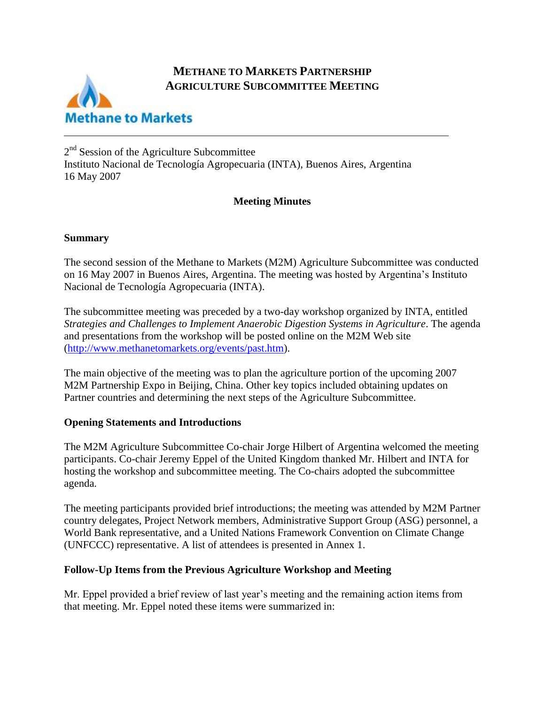## **METHANE TO MARKETS PARTNERSHIP AGRICULTURE SUBCOMMITTEE MEETING**



2<sup>nd</sup> Session of the Agriculture Subcommittee Instituto Nacional de Tecnología Agropecuaria (INTA), Buenos Aires, Argentina 16 May 2007

## **Meeting Minutes**

## **Summary**

The second session of the Methane to Markets (M2M) Agriculture Subcommittee was conducted on 16 May 2007 in Buenos Aires, Argentina. The meeting was hosted by Argentina's Instituto Nacional de Tecnología Agropecuaria (INTA).

The subcommittee meeting was preceded by a two-day workshop organized by INTA, entitled *Strategies and Challenges to Implement Anaerobic Digestion Systems in Agriculture*. The agenda and presentations from the workshop will be posted online on the M2M Web site [\(http://www.methanetomarkets.org/events/past.htm\)](http://www.methanetomarkets.org/events/past.htm).

The main objective of the meeting was to plan the agriculture portion of the upcoming 2007 M2M Partnership Expo in Beijing, China. Other key topics included obtaining updates on Partner countries and determining the next steps of the Agriculture Subcommittee.

## **Opening Statements and Introductions**

The M2M Agriculture Subcommittee Co-chair Jorge Hilbert of Argentina welcomed the meeting participants. Co-chair Jeremy Eppel of the United Kingdom thanked Mr. Hilbert and INTA for hosting the workshop and subcommittee meeting. The Co-chairs adopted the subcommittee agenda.

The meeting participants provided brief introductions; the meeting was attended by M2M Partner country delegates, Project Network members, Administrative Support Group (ASG) personnel, a World Bank representative, and a United Nations Framework Convention on Climate Change (UNFCCC) representative. A list of attendees is presented in Annex 1.

## **Follow-Up Items from the Previous Agriculture Workshop and Meeting**

Mr. Eppel provided a brief review of last year's meeting and the remaining action items from that meeting. Mr. Eppel noted these items were summarized in: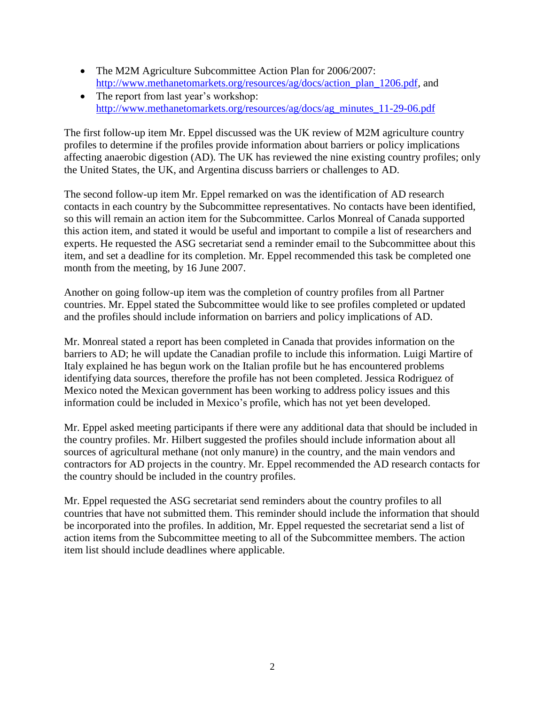- The M2M Agriculture Subcommittee Action Plan for 2006/2007: [http://www.methanetomarkets.org/resources/ag/docs/action\\_plan\\_1206.pdf,](http://www.methanetomarkets.org/resources/ag/docs/action_plan_1206.pdf) and
- The report from last year's workshop: [http://www.methanetomarkets.org/resources/ag/docs/ag\\_minutes\\_11-29-06.pdf](http://www.methanetomarkets.org/resources/ag/docs/ag_minutes_11-29-06.pdf)

The first follow-up item Mr. Eppel discussed was the UK review of M2M agriculture country profiles to determine if the profiles provide information about barriers or policy implications affecting anaerobic digestion (AD). The UK has reviewed the nine existing country profiles; only the United States, the UK, and Argentina discuss barriers or challenges to AD.

The second follow-up item Mr. Eppel remarked on was the identification of AD research contacts in each country by the Subcommittee representatives. No contacts have been identified, so this will remain an action item for the Subcommittee. Carlos Monreal of Canada supported this action item, and stated it would be useful and important to compile a list of researchers and experts. He requested the ASG secretariat send a reminder email to the Subcommittee about this item, and set a deadline for its completion. Mr. Eppel recommended this task be completed one month from the meeting, by 16 June 2007.

Another on going follow-up item was the completion of country profiles from all Partner countries. Mr. Eppel stated the Subcommittee would like to see profiles completed or updated and the profiles should include information on barriers and policy implications of AD.

Mr. Monreal stated a report has been completed in Canada that provides information on the barriers to AD; he will update the Canadian profile to include this information. Luigi Martire of Italy explained he has begun work on the Italian profile but he has encountered problems identifying data sources, therefore the profile has not been completed. Jessica Rodriguez of Mexico noted the Mexican government has been working to address policy issues and this information could be included in Mexico's profile, which has not yet been developed.

Mr. Eppel asked meeting participants if there were any additional data that should be included in the country profiles. Mr. Hilbert suggested the profiles should include information about all sources of agricultural methane (not only manure) in the country, and the main vendors and contractors for AD projects in the country. Mr. Eppel recommended the AD research contacts for the country should be included in the country profiles.

Mr. Eppel requested the ASG secretariat send reminders about the country profiles to all countries that have not submitted them. This reminder should include the information that should be incorporated into the profiles. In addition, Mr. Eppel requested the secretariat send a list of action items from the Subcommittee meeting to all of the Subcommittee members. The action item list should include deadlines where applicable.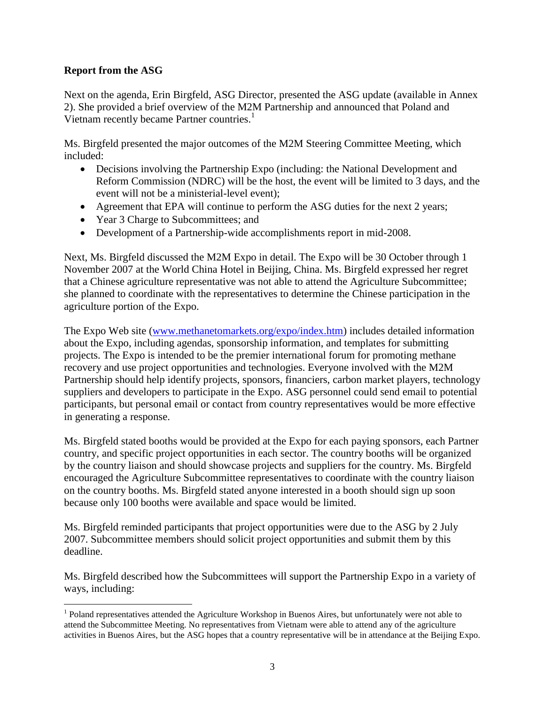## **Report from the ASG**

Next on the agenda, Erin Birgfeld, ASG Director, presented the ASG update (available in Annex 2). She provided a brief overview of the M2M Partnership and announced that Poland and Vietnam recently became Partner countries.<sup>1</sup>

Ms. Birgfeld presented the major outcomes of the M2M Steering Committee Meeting, which included:

- Decisions involving the Partnership Expo (including: the National Development and Reform Commission (NDRC) will be the host, the event will be limited to 3 days, and the event will not be a ministerial-level event);
- Agreement that EPA will continue to perform the ASG duties for the next 2 years;
- Year 3 Charge to Subcommittees; and
- Development of a Partnership-wide accomplishments report in mid-2008.

Next, Ms. Birgfeld discussed the M2M Expo in detail. The Expo will be 30 October through 1 November 2007 at the World China Hotel in Beijing, China. Ms. Birgfeld expressed her regret that a Chinese agriculture representative was not able to attend the Agriculture Subcommittee; she planned to coordinate with the representatives to determine the Chinese participation in the agriculture portion of the Expo.

The Expo Web site [\(www.methanetomarkets.org/expo/index.htm\)](http://www.methanetomarkets.org/expo/index.htm) includes detailed information about the Expo, including agendas, sponsorship information, and templates for submitting projects. The Expo is intended to be the premier international forum for promoting methane recovery and use project opportunities and technologies. Everyone involved with the M2M Partnership should help identify projects, sponsors, financiers, carbon market players, technology suppliers and developers to participate in the Expo. ASG personnel could send email to potential participants, but personal email or contact from country representatives would be more effective in generating a response.

Ms. Birgfeld stated booths would be provided at the Expo for each paying sponsors, each Partner country, and specific project opportunities in each sector. The country booths will be organized by the country liaison and should showcase projects and suppliers for the country. Ms. Birgfeld encouraged the Agriculture Subcommittee representatives to coordinate with the country liaison on the country booths. Ms. Birgfeld stated anyone interested in a booth should sign up soon because only 100 booths were available and space would be limited.

Ms. Birgfeld reminded participants that project opportunities were due to the ASG by 2 July 2007. Subcommittee members should solicit project opportunities and submit them by this deadline.

Ms. Birgfeld described how the Subcommittees will support the Partnership Expo in a variety of ways, including:

 $\overline{a}$ <sup>1</sup> Poland representatives attended the Agriculture Workshop in Buenos Aires, but unfortunately were not able to attend the Subcommittee Meeting. No representatives from Vietnam were able to attend any of the agriculture activities in Buenos Aires, but the ASG hopes that a country representative will be in attendance at the Beijing Expo.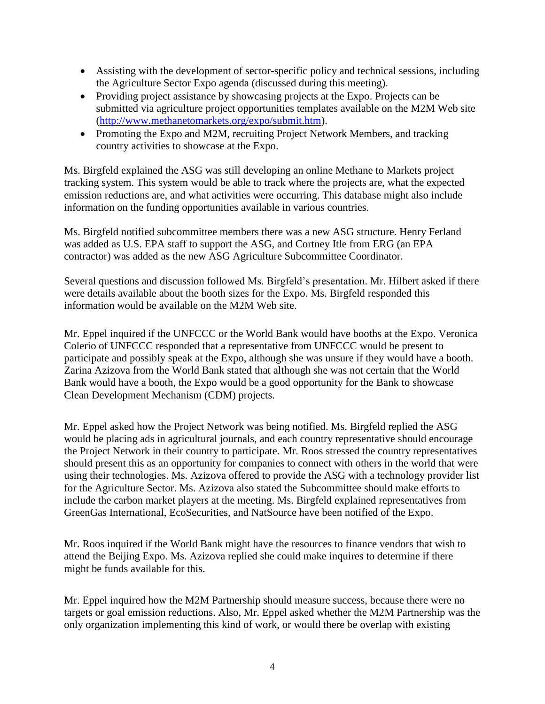- Assisting with the development of sector-specific policy and technical sessions, including the Agriculture Sector Expo agenda (discussed during this meeting).
- Providing project assistance by showcasing projects at the Expo. Projects can be submitted via agriculture project opportunities templates available on the M2M Web site [\(http://www.methanetomarkets.org/expo/submit.htm\)](http://www.methanetomarkets.org/expo/submit.htm).
- Promoting the Expo and M2M, recruiting Project Network Members, and tracking country activities to showcase at the Expo.

Ms. Birgfeld explained the ASG was still developing an online Methane to Markets project tracking system. This system would be able to track where the projects are, what the expected emission reductions are, and what activities were occurring. This database might also include information on the funding opportunities available in various countries.

Ms. Birgfeld notified subcommittee members there was a new ASG structure. Henry Ferland was added as U.S. EPA staff to support the ASG, and Cortney Itle from ERG (an EPA contractor) was added as the new ASG Agriculture Subcommittee Coordinator.

Several questions and discussion followed Ms. Birgfeld's presentation. Mr. Hilbert asked if there were details available about the booth sizes for the Expo. Ms. Birgfeld responded this information would be available on the M2M Web site.

Mr. Eppel inquired if the UNFCCC or the World Bank would have booths at the Expo. Veronica Colerio of UNFCCC responded that a representative from UNFCCC would be present to participate and possibly speak at the Expo, although she was unsure if they would have a booth. Zarina Azizova from the World Bank stated that although she was not certain that the World Bank would have a booth, the Expo would be a good opportunity for the Bank to showcase Clean Development Mechanism (CDM) projects.

Mr. Eppel asked how the Project Network was being notified. Ms. Birgfeld replied the ASG would be placing ads in agricultural journals, and each country representative should encourage the Project Network in their country to participate. Mr. Roos stressed the country representatives should present this as an opportunity for companies to connect with others in the world that were using their technologies. Ms. Azizova offered to provide the ASG with a technology provider list for the Agriculture Sector. Ms. Azizova also stated the Subcommittee should make efforts to include the carbon market players at the meeting. Ms. Birgfeld explained representatives from GreenGas International, EcoSecurities, and NatSource have been notified of the Expo.

Mr. Roos inquired if the World Bank might have the resources to finance vendors that wish to attend the Beijing Expo. Ms. Azizova replied she could make inquires to determine if there might be funds available for this.

Mr. Eppel inquired how the M2M Partnership should measure success, because there were no targets or goal emission reductions. Also, Mr. Eppel asked whether the M2M Partnership was the only organization implementing this kind of work, or would there be overlap with existing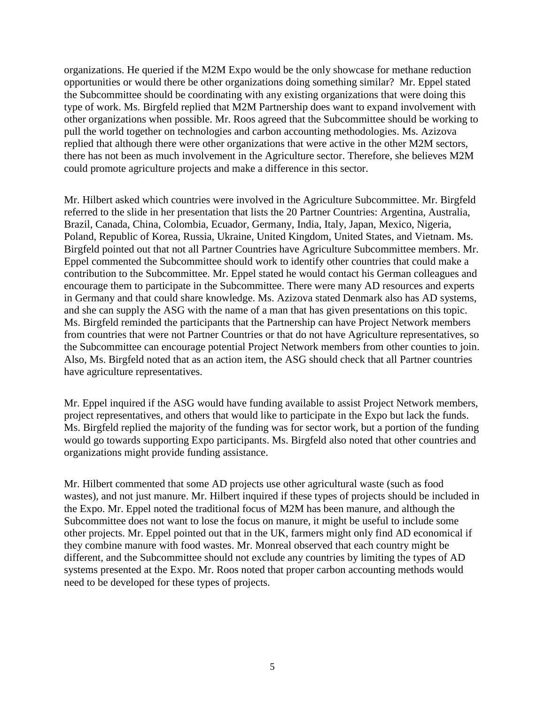organizations. He queried if the M2M Expo would be the only showcase for methane reduction opportunities or would there be other organizations doing something similar? Mr. Eppel stated the Subcommittee should be coordinating with any existing organizations that were doing this type of work. Ms. Birgfeld replied that M2M Partnership does want to expand involvement with other organizations when possible. Mr. Roos agreed that the Subcommittee should be working to pull the world together on technologies and carbon accounting methodologies. Ms. Azizova replied that although there were other organizations that were active in the other M2M sectors, there has not been as much involvement in the Agriculture sector. Therefore, she believes M2M could promote agriculture projects and make a difference in this sector.

Mr. Hilbert asked which countries were involved in the Agriculture Subcommittee. Mr. Birgfeld referred to the slide in her presentation that lists the 20 Partner Countries: Argentina, Australia, Brazil, Canada, China, Colombia, Ecuador, Germany, India, Italy, Japan, Mexico, Nigeria, Poland, Republic of Korea, Russia, Ukraine, United Kingdom, United States, and Vietnam. Ms. Birgfeld pointed out that not all Partner Countries have Agriculture Subcommittee members. Mr. Eppel commented the Subcommittee should work to identify other countries that could make a contribution to the Subcommittee. Mr. Eppel stated he would contact his German colleagues and encourage them to participate in the Subcommittee. There were many AD resources and experts in Germany and that could share knowledge. Ms. Azizova stated Denmark also has AD systems, and she can supply the ASG with the name of a man that has given presentations on this topic. Ms. Birgfeld reminded the participants that the Partnership can have Project Network members from countries that were not Partner Countries or that do not have Agriculture representatives, so the Subcommittee can encourage potential Project Network members from other counties to join. Also, Ms. Birgfeld noted that as an action item, the ASG should check that all Partner countries have agriculture representatives.

Mr. Eppel inquired if the ASG would have funding available to assist Project Network members, project representatives, and others that would like to participate in the Expo but lack the funds. Ms. Birgfeld replied the majority of the funding was for sector work, but a portion of the funding would go towards supporting Expo participants. Ms. Birgfeld also noted that other countries and organizations might provide funding assistance.

Mr. Hilbert commented that some AD projects use other agricultural waste (such as food wastes), and not just manure. Mr. Hilbert inquired if these types of projects should be included in the Expo. Mr. Eppel noted the traditional focus of M2M has been manure, and although the Subcommittee does not want to lose the focus on manure, it might be useful to include some other projects. Mr. Eppel pointed out that in the UK, farmers might only find AD economical if they combine manure with food wastes. Mr. Monreal observed that each country might be different, and the Subcommittee should not exclude any countries by limiting the types of AD systems presented at the Expo. Mr. Roos noted that proper carbon accounting methods would need to be developed for these types of projects.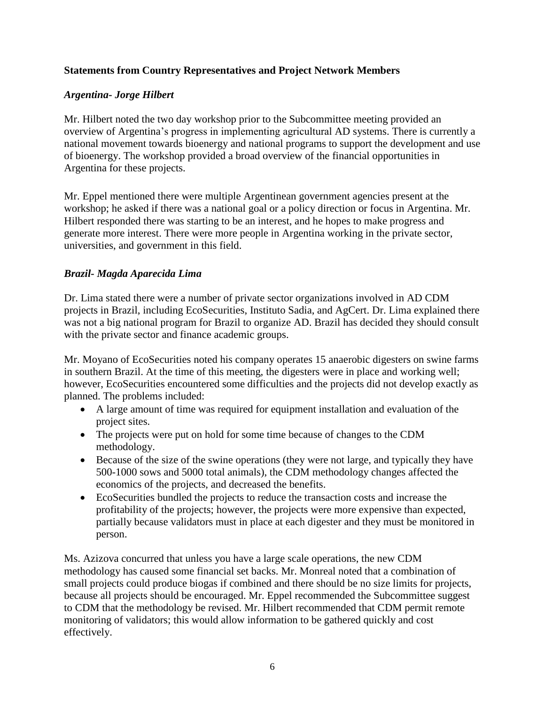## **Statements from Country Representatives and Project Network Members**

## *Argentina- Jorge Hilbert*

Mr. Hilbert noted the two day workshop prior to the Subcommittee meeting provided an overview of Argentina's progress in implementing agricultural AD systems. There is currently a national movement towards bioenergy and national programs to support the development and use of bioenergy. The workshop provided a broad overview of the financial opportunities in Argentina for these projects.

Mr. Eppel mentioned there were multiple Argentinean government agencies present at the workshop; he asked if there was a national goal or a policy direction or focus in Argentina. Mr. Hilbert responded there was starting to be an interest, and he hopes to make progress and generate more interest. There were more people in Argentina working in the private sector, universities, and government in this field.

## *Brazil- Magda Aparecida Lima*

Dr. Lima stated there were a number of private sector organizations involved in AD CDM projects in Brazil, including EcoSecurities, Instituto Sadia, and AgCert. Dr. Lima explained there was not a big national program for Brazil to organize AD. Brazil has decided they should consult with the private sector and finance academic groups.

Mr. Moyano of EcoSecurities noted his company operates 15 anaerobic digesters on swine farms in southern Brazil. At the time of this meeting, the digesters were in place and working well; however, EcoSecurities encountered some difficulties and the projects did not develop exactly as planned. The problems included:

- A large amount of time was required for equipment installation and evaluation of the project sites.
- The projects were put on hold for some time because of changes to the CDM methodology.
- Because of the size of the swine operations (they were not large, and typically they have 500-1000 sows and 5000 total animals), the CDM methodology changes affected the economics of the projects, and decreased the benefits.
- EcoSecurities bundled the projects to reduce the transaction costs and increase the profitability of the projects; however, the projects were more expensive than expected, partially because validators must in place at each digester and they must be monitored in person.

Ms. Azizova concurred that unless you have a large scale operations, the new CDM methodology has caused some financial set backs. Mr. Monreal noted that a combination of small projects could produce biogas if combined and there should be no size limits for projects, because all projects should be encouraged. Mr. Eppel recommended the Subcommittee suggest to CDM that the methodology be revised. Mr. Hilbert recommended that CDM permit remote monitoring of validators; this would allow information to be gathered quickly and cost effectively.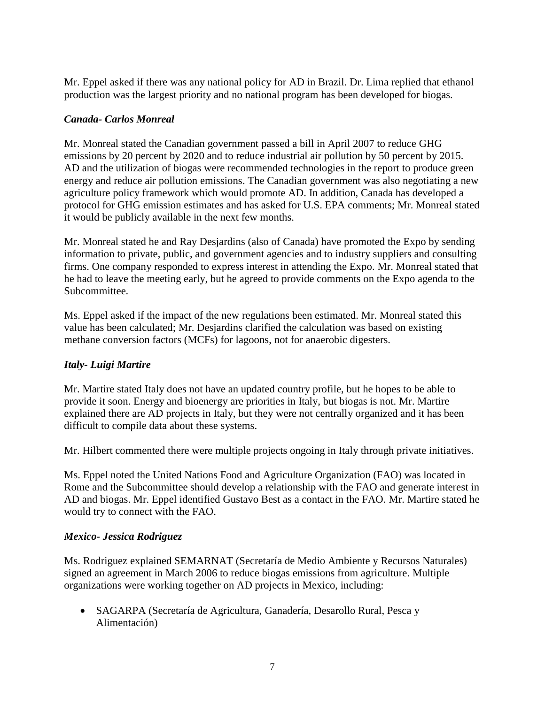Mr. Eppel asked if there was any national policy for AD in Brazil. Dr. Lima replied that ethanol production was the largest priority and no national program has been developed for biogas.

### *Canada- Carlos Monreal*

Mr. Monreal stated the Canadian government passed a bill in April 2007 to reduce GHG emissions by 20 percent by 2020 and to reduce industrial air pollution by 50 percent by 2015. AD and the utilization of biogas were recommended technologies in the report to produce green energy and reduce air pollution emissions. The Canadian government was also negotiating a new agriculture policy framework which would promote AD. In addition, Canada has developed a protocol for GHG emission estimates and has asked for U.S. EPA comments; Mr. Monreal stated it would be publicly available in the next few months.

Mr. Monreal stated he and Ray Desjardins (also of Canada) have promoted the Expo by sending information to private, public, and government agencies and to industry suppliers and consulting firms. One company responded to express interest in attending the Expo. Mr. Monreal stated that he had to leave the meeting early, but he agreed to provide comments on the Expo agenda to the Subcommittee.

Ms. Eppel asked if the impact of the new regulations been estimated. Mr. Monreal stated this value has been calculated; Mr. Desjardins clarified the calculation was based on existing methane conversion factors (MCFs) for lagoons, not for anaerobic digesters.

## *Italy- Luigi Martire*

Mr. Martire stated Italy does not have an updated country profile, but he hopes to be able to provide it soon. Energy and bioenergy are priorities in Italy, but biogas is not. Mr. Martire explained there are AD projects in Italy, but they were not centrally organized and it has been difficult to compile data about these systems.

Mr. Hilbert commented there were multiple projects ongoing in Italy through private initiatives.

Ms. Eppel noted the United Nations Food and Agriculture Organization (FAO) was located in Rome and the Subcommittee should develop a relationship with the FAO and generate interest in AD and biogas. Mr. Eppel identified Gustavo Best as a contact in the FAO. Mr. Martire stated he would try to connect with the FAO.

## *Mexico- Jessica Rodriguez*

Ms. Rodriguez explained SEMARNAT (Secretaría de Medio Ambiente y Recursos Naturales) signed an agreement in March 2006 to reduce biogas emissions from agriculture. Multiple organizations were working together on AD projects in Mexico, including:

 SAGARPA (Secretaría de Agricultura, Ganadería, Desarollo Rural, Pesca y Alimentación)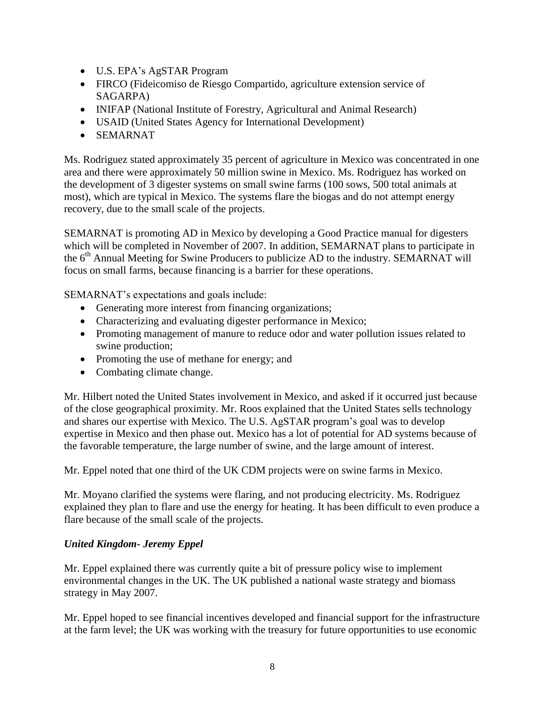- U.S. EPA's AgSTAR Program
- FIRCO (Fideicomiso de Riesgo Compartido, agriculture extension service of SAGARPA)
- INIFAP (National Institute of Forestry, Agricultural and Animal Research)
- USAID (United States Agency for International Development)
- SEMARNAT

Ms. Rodriguez stated approximately 35 percent of agriculture in Mexico was concentrated in one area and there were approximately 50 million swine in Mexico. Ms. Rodriguez has worked on the development of 3 digester systems on small swine farms (100 sows, 500 total animals at most), which are typical in Mexico. The systems flare the biogas and do not attempt energy recovery, due to the small scale of the projects.

SEMARNAT is promoting AD in Mexico by developing a Good Practice manual for digesters which will be completed in November of 2007. In addition, SEMARNAT plans to participate in the 6<sup>th</sup> Annual Meeting for Swine Producers to publicize AD to the industry. SEMARNAT will focus on small farms, because financing is a barrier for these operations.

SEMARNAT's expectations and goals include:

- Generating more interest from financing organizations;
- Characterizing and evaluating digester performance in Mexico;
- Promoting management of manure to reduce odor and water pollution issues related to swine production;
- Promoting the use of methane for energy; and
- Combating climate change.

Mr. Hilbert noted the United States involvement in Mexico, and asked if it occurred just because of the close geographical proximity. Mr. Roos explained that the United States sells technology and shares our expertise with Mexico. The U.S. AgSTAR program's goal was to develop expertise in Mexico and then phase out. Mexico has a lot of potential for AD systems because of the favorable temperature, the large number of swine, and the large amount of interest.

Mr. Eppel noted that one third of the UK CDM projects were on swine farms in Mexico.

Mr. Moyano clarified the systems were flaring, and not producing electricity. Ms. Rodriguez explained they plan to flare and use the energy for heating. It has been difficult to even produce a flare because of the small scale of the projects.

## *United Kingdom- Jeremy Eppel*

Mr. Eppel explained there was currently quite a bit of pressure policy wise to implement environmental changes in the UK. The UK published a national waste strategy and biomass strategy in May 2007.

Mr. Eppel hoped to see financial incentives developed and financial support for the infrastructure at the farm level; the UK was working with the treasury for future opportunities to use economic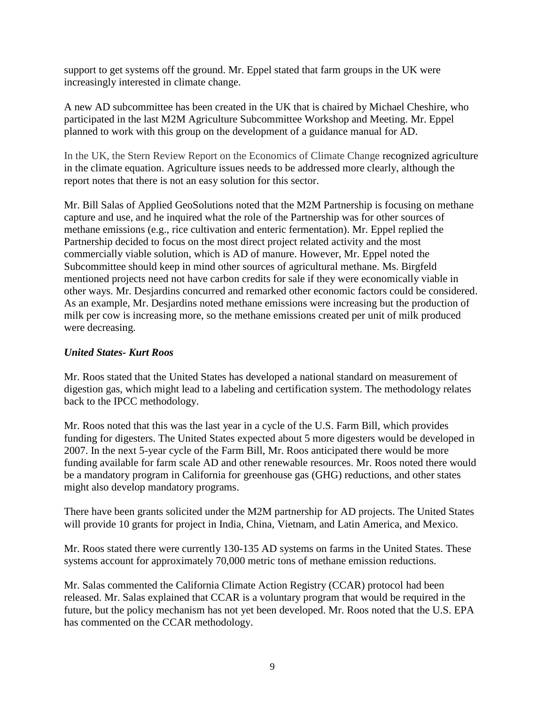support to get systems off the ground. Mr. Eppel stated that farm groups in the UK were increasingly interested in climate change.

A new AD subcommittee has been created in the UK that is chaired by Michael Cheshire, who participated in the last M2M Agriculture Subcommittee Workshop and Meeting. Mr. Eppel planned to work with this group on the development of a guidance manual for AD.

In the UK, the Stern Review Report on the Economics of Climate Change recognized agriculture in the climate equation. Agriculture issues needs to be addressed more clearly, although the report notes that there is not an easy solution for this sector.

Mr. Bill Salas of Applied GeoSolutions noted that the M2M Partnership is focusing on methane capture and use, and he inquired what the role of the Partnership was for other sources of methane emissions (e.g., rice cultivation and enteric fermentation). Mr. Eppel replied the Partnership decided to focus on the most direct project related activity and the most commercially viable solution, which is AD of manure. However, Mr. Eppel noted the Subcommittee should keep in mind other sources of agricultural methane. Ms. Birgfeld mentioned projects need not have carbon credits for sale if they were economically viable in other ways. Mr. Desjardins concurred and remarked other economic factors could be considered. As an example, Mr. Desjardins noted methane emissions were increasing but the production of milk per cow is increasing more, so the methane emissions created per unit of milk produced were decreasing.

### *United States- Kurt Roos*

Mr. Roos stated that the United States has developed a national standard on measurement of digestion gas, which might lead to a labeling and certification system. The methodology relates back to the IPCC methodology.

Mr. Roos noted that this was the last year in a cycle of the U.S. Farm Bill, which provides funding for digesters. The United States expected about 5 more digesters would be developed in 2007. In the next 5-year cycle of the Farm Bill, Mr. Roos anticipated there would be more funding available for farm scale AD and other renewable resources. Mr. Roos noted there would be a mandatory program in California for greenhouse gas (GHG) reductions, and other states might also develop mandatory programs.

There have been grants solicited under the M2M partnership for AD projects. The United States will provide 10 grants for project in India, China, Vietnam, and Latin America, and Mexico.

Mr. Roos stated there were currently 130-135 AD systems on farms in the United States. These systems account for approximately 70,000 metric tons of methane emission reductions.

Mr. Salas commented the California Climate Action Registry (CCAR) protocol had been released. Mr. Salas explained that CCAR is a voluntary program that would be required in the future, but the policy mechanism has not yet been developed. Mr. Roos noted that the U.S. EPA has commented on the CCAR methodology.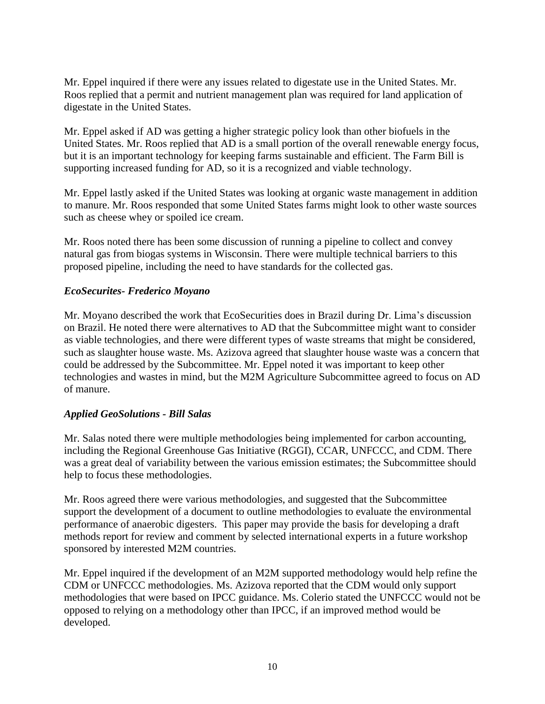Mr. Eppel inquired if there were any issues related to digestate use in the United States. Mr. Roos replied that a permit and nutrient management plan was required for land application of digestate in the United States.

Mr. Eppel asked if AD was getting a higher strategic policy look than other biofuels in the United States. Mr. Roos replied that AD is a small portion of the overall renewable energy focus, but it is an important technology for keeping farms sustainable and efficient. The Farm Bill is supporting increased funding for AD, so it is a recognized and viable technology.

Mr. Eppel lastly asked if the United States was looking at organic waste management in addition to manure. Mr. Roos responded that some United States farms might look to other waste sources such as cheese whey or spoiled ice cream.

Mr. Roos noted there has been some discussion of running a pipeline to collect and convey natural gas from biogas systems in Wisconsin. There were multiple technical barriers to this proposed pipeline, including the need to have standards for the collected gas.

### *EcoSecurites- Frederico Moyano*

Mr. Moyano described the work that EcoSecurities does in Brazil during Dr. Lima's discussion on Brazil. He noted there were alternatives to AD that the Subcommittee might want to consider as viable technologies, and there were different types of waste streams that might be considered, such as slaughter house waste. Ms. Azizova agreed that slaughter house waste was a concern that could be addressed by the Subcommittee. Mr. Eppel noted it was important to keep other technologies and wastes in mind, but the M2M Agriculture Subcommittee agreed to focus on AD of manure.

### *Applied GeoSolutions - Bill Salas*

Mr. Salas noted there were multiple methodologies being implemented for carbon accounting, including the Regional Greenhouse Gas Initiative (RGGI), CCAR, UNFCCC, and CDM. There was a great deal of variability between the various emission estimates; the Subcommittee should help to focus these methodologies.

Mr. Roos agreed there were various methodologies, and suggested that the Subcommittee support the development of a document to outline methodologies to evaluate the environmental performance of anaerobic digesters. This paper may provide the basis for developing a draft methods report for review and comment by selected international experts in a future workshop sponsored by interested M2M countries.

Mr. Eppel inquired if the development of an M2M supported methodology would help refine the CDM or UNFCCC methodologies. Ms. Azizova reported that the CDM would only support methodologies that were based on IPCC guidance. Ms. Colerio stated the UNFCCC would not be opposed to relying on a methodology other than IPCC, if an improved method would be developed.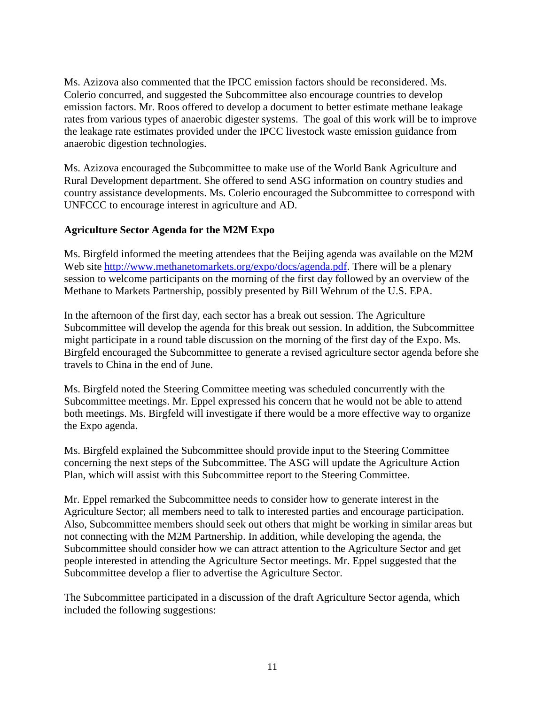Ms. Azizova also commented that the IPCC emission factors should be reconsidered. Ms. Colerio concurred, and suggested the Subcommittee also encourage countries to develop emission factors. Mr. Roos offered to develop a document to better estimate methane leakage rates from various types of anaerobic digester systems. The goal of this work will be to improve the leakage rate estimates provided under the IPCC livestock waste emission guidance from anaerobic digestion technologies.

Ms. Azizova encouraged the Subcommittee to make use of the World Bank Agriculture and Rural Development department. She offered to send ASG information on country studies and country assistance developments. Ms. Colerio encouraged the Subcommittee to correspond with UNFCCC to encourage interest in agriculture and AD.

## **Agriculture Sector Agenda for the M2M Expo**

Ms. Birgfeld informed the meeting attendees that the Beijing agenda was available on the M2M Web site [http://www.methanetomarkets.org/expo/docs/agenda.pdf.](http://www.methanetomarkets.org/expo/docs/agenda.pdf) There will be a plenary session to welcome participants on the morning of the first day followed by an overview of the Methane to Markets Partnership, possibly presented by Bill Wehrum of the U.S. EPA.

In the afternoon of the first day, each sector has a break out session. The Agriculture Subcommittee will develop the agenda for this break out session. In addition, the Subcommittee might participate in a round table discussion on the morning of the first day of the Expo. Ms. Birgfeld encouraged the Subcommittee to generate a revised agriculture sector agenda before she travels to China in the end of June.

Ms. Birgfeld noted the Steering Committee meeting was scheduled concurrently with the Subcommittee meetings. Mr. Eppel expressed his concern that he would not be able to attend both meetings. Ms. Birgfeld will investigate if there would be a more effective way to organize the Expo agenda.

Ms. Birgfeld explained the Subcommittee should provide input to the Steering Committee concerning the next steps of the Subcommittee. The ASG will update the Agriculture Action Plan, which will assist with this Subcommittee report to the Steering Committee.

Mr. Eppel remarked the Subcommittee needs to consider how to generate interest in the Agriculture Sector; all members need to talk to interested parties and encourage participation. Also, Subcommittee members should seek out others that might be working in similar areas but not connecting with the M2M Partnership. In addition, while developing the agenda, the Subcommittee should consider how we can attract attention to the Agriculture Sector and get people interested in attending the Agriculture Sector meetings. Mr. Eppel suggested that the Subcommittee develop a flier to advertise the Agriculture Sector.

The Subcommittee participated in a discussion of the draft Agriculture Sector agenda, which included the following suggestions: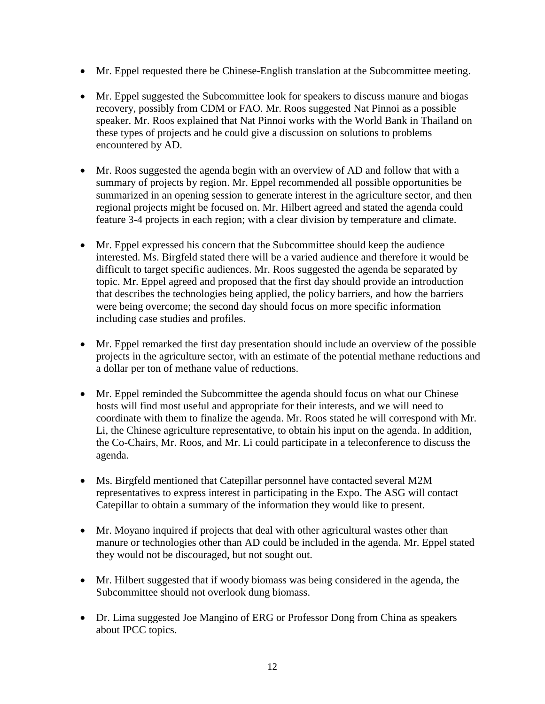- Mr. Eppel requested there be Chinese-English translation at the Subcommittee meeting.
- Mr. Eppel suggested the Subcommittee look for speakers to discuss manure and biogas recovery, possibly from CDM or FAO. Mr. Roos suggested Nat Pinnoi as a possible speaker. Mr. Roos explained that Nat Pinnoi works with the World Bank in Thailand on these types of projects and he could give a discussion on solutions to problems encountered by AD.
- Mr. Roos suggested the agenda begin with an overview of AD and follow that with a summary of projects by region. Mr. Eppel recommended all possible opportunities be summarized in an opening session to generate interest in the agriculture sector, and then regional projects might be focused on. Mr. Hilbert agreed and stated the agenda could feature 3-4 projects in each region; with a clear division by temperature and climate.
- Mr. Eppel expressed his concern that the Subcommittee should keep the audience interested. Ms. Birgfeld stated there will be a varied audience and therefore it would be difficult to target specific audiences. Mr. Roos suggested the agenda be separated by topic. Mr. Eppel agreed and proposed that the first day should provide an introduction that describes the technologies being applied, the policy barriers, and how the barriers were being overcome; the second day should focus on more specific information including case studies and profiles.
- Mr. Eppel remarked the first day presentation should include an overview of the possible projects in the agriculture sector, with an estimate of the potential methane reductions and a dollar per ton of methane value of reductions.
- Mr. Eppel reminded the Subcommittee the agenda should focus on what our Chinese hosts will find most useful and appropriate for their interests, and we will need to coordinate with them to finalize the agenda. Mr. Roos stated he will correspond with Mr. Li, the Chinese agriculture representative, to obtain his input on the agenda. In addition, the Co-Chairs, Mr. Roos, and Mr. Li could participate in a teleconference to discuss the agenda.
- Ms. Birgfeld mentioned that Catepillar personnel have contacted several M2M representatives to express interest in participating in the Expo. The ASG will contact Catepillar to obtain a summary of the information they would like to present.
- Mr. Moyano inquired if projects that deal with other agricultural wastes other than manure or technologies other than AD could be included in the agenda. Mr. Eppel stated they would not be discouraged, but not sought out.
- Mr. Hilbert suggested that if woody biomass was being considered in the agenda, the Subcommittee should not overlook dung biomass.
- Dr. Lima suggested Joe Mangino of ERG or Professor Dong from China as speakers about IPCC topics.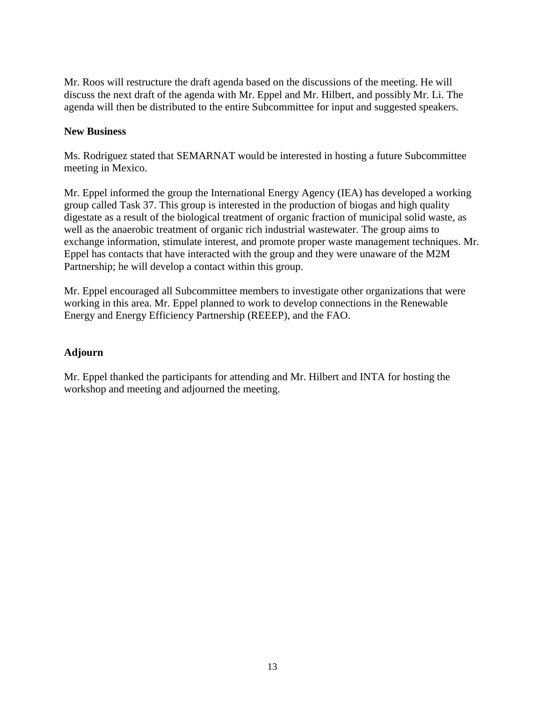Mr. Roos will restructure the draft agenda based on the discussions of the meeting. He will discuss the next draft of the agenda with Mr. Eppel and Mr. Hilbert, and possibly Mr. Li. The agenda will then be distributed to the entire Subcommittee for input and suggested speakers.

### **New Business**

Ms. Rodriguez stated that SEMARNAT would be interested in hosting a future Subcommittee meeting in Mexico.

Mr. Eppel informed the group the International Energy Agency (IEA) has developed a working group called Task 37. This group is interested in the production of biogas and high quality digestate as a result of the biological treatment of organic fraction of municipal solid waste, as well as the anaerobic treatment of organic rich industrial wastewater. The group aims to exchange information, stimulate interest, and promote proper waste management techniques. Mr. Eppel has contacts that have interacted with the group and they were unaware of the M2M Partnership; he will develop a contact within this group.

Mr. Eppel encouraged all Subcommittee members to investigate other organizations that were working in this area. Mr. Eppel planned to work to develop connections in the Renewable Energy and Energy Efficiency Partnership (REEEP), and the FAO.

### **Adjourn**

Mr. Eppel thanked the participants for attending and Mr. Hilbert and INTA for hosting the workshop and meeting and adjourned the meeting.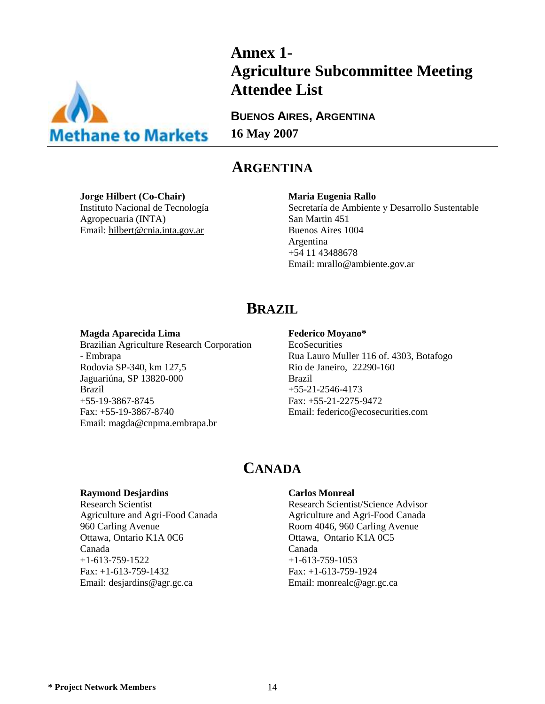

# **Annex 1- Agriculture Subcommittee Meeting Attendee List**

**BUENOS AIRES, ARGENTINA 16 May 2007**

## **ARGENTINA**

**Jorge Hilbert (Co-Chair)** Instituto Nacional de Tecnología Agropecuaria (INTA) Email: [hilbert@cnia.inta.gov.ar](mailto:hilbert@cnia.inta.gov.ar)

#### **Maria Eugenia Rallo**

Secretaría de Ambiente y Desarrollo Sustentable San Martin 451 Buenos Aires 1004 Argentina +54 11 43488678 Email: mrallo@ambiente.gov.ar

## **BRAZIL**

#### **Magda Aparecida Lima**

Brazilian Agriculture Research Corporation - Embrapa Rodovia SP-340, km 127,5 Jaguariúna, SP 13820-000 Brazil +55-19-3867-8745 Fax: +55-19-3867-8740 Email: magda@cnpma.embrapa.br

#### **Federico Moyano\***

**EcoSecurities** Rua Lauro Muller 116 of. 4303, Botafogo Rio de Janeiro, 22290-160 Brazil +55-21-2546-4173 Fax: +55-21-2275-9472 Email: federico@ecosecurities.com

## **CANADA**

#### **Raymond Desjardins**

Research Scientist Agriculture and Agri-Food Canada 960 Carling Avenue Ottawa, Ontario K1A 0C6 Canada +1-613-759-1522 Fax: +1-613-759-1432 Email: desjardins@agr.gc.ca

#### **Carlos Monreal**

Research Scientist/Science Advisor Agriculture and Agri-Food Canada Room 4046, 960 Carling Avenue Ottawa, Ontario K1A 0C5 Canada  $+1-613-759-1053$ Fax: +1-613-759-1924 Email: monrealc@agr.gc.ca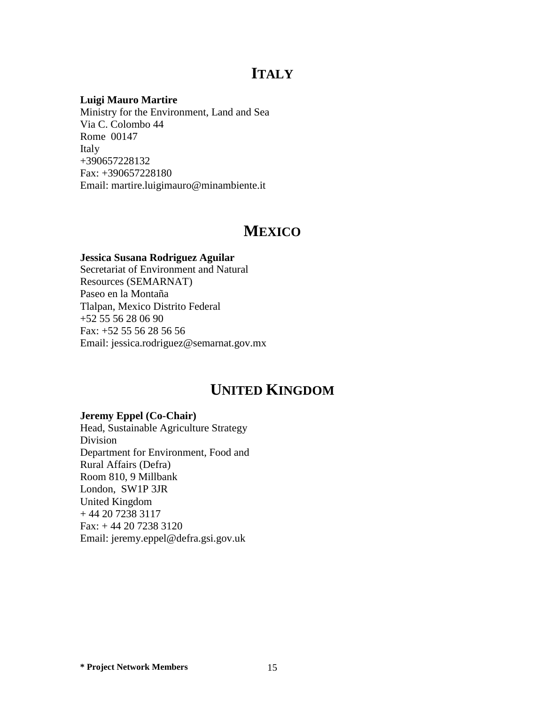## **ITALY**

#### **Luigi Mauro Martire**

Ministry for the Environment, Land and Sea Via C. Colombo 44 Rome 00147 Italy +390657228132 Fax: +390657228180 Email: martire.luigimauro@minambiente.it

## **MEXICO**

#### **Jessica Susana Rodriguez Aguilar**

Secretariat of Environment and Natural Resources (SEMARNAT) Paseo en la Montaña Tlalpan, Mexico Distrito Federal +52 55 56 28 06 90 Fax: +52 55 56 28 56 56 Email: jessica.rodriguez@semarnat.gov.mx

## **UNITED KINGDOM**

#### **Jeremy Eppel (Co-Chair)**

Head, Sustainable Agriculture Strategy Division Department for Environment, Food and Rural Affairs (Defra) Room 810, 9 Millbank London, SW1P 3JR United Kingdom + 44 20 7238 3117 Fax: + 44 20 7238 3120 Email: jeremy.eppel@defra.gsi.gov.uk